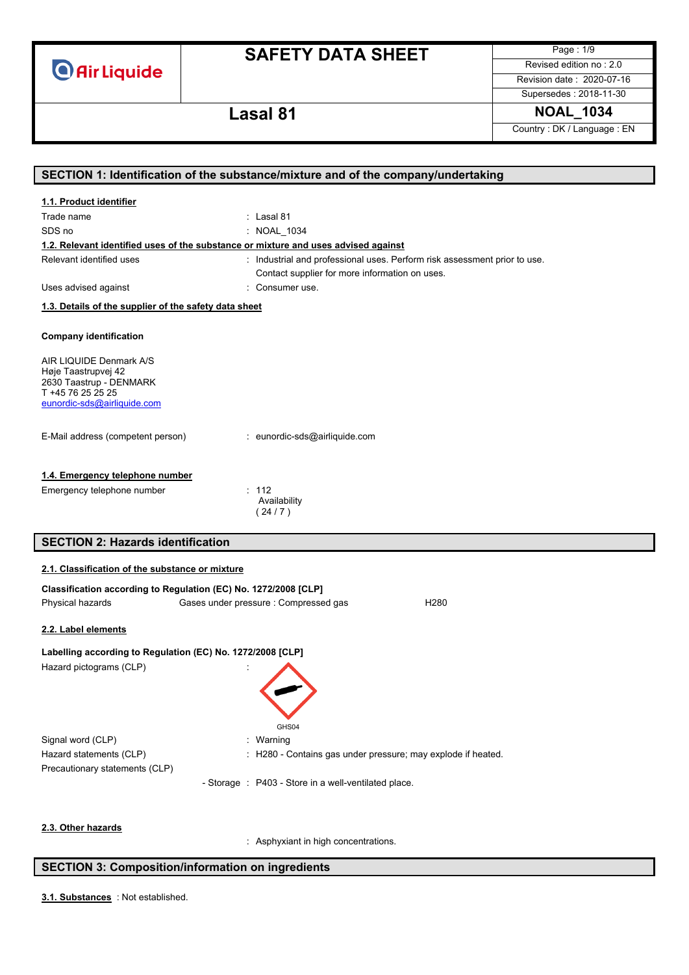# **SAFETY DATA SHEET**

Page : 1/9 Revised edition no : 2.0

Revision date : 2020-07-16 Supersedes : 2018-11-30

### **Lasal 81 NOAL\_1034**

Country : DK / Language : EN

|                                                                 | SECTION 1: Identification of the substance/mixture and of the company/undertaking  |
|-----------------------------------------------------------------|------------------------------------------------------------------------------------|
| 1.1. Product identifier                                         |                                                                                    |
| Trade name                                                      | : Lasal 81                                                                         |
| SDS no                                                          | : NOAL 1034                                                                        |
|                                                                 | 1.2. Relevant identified uses of the substance or mixture and uses advised against |
| Relevant identified uses                                        | : Industrial and professional uses. Perform risk assessment prior to use.          |
|                                                                 | Contact supplier for more information on uses.                                     |
| Uses advised against                                            | : Consumer use.                                                                    |
| 1.3. Details of the supplier of the safety data sheet           |                                                                                    |
|                                                                 |                                                                                    |
| <b>Company identification</b>                                   |                                                                                    |
| AIR LIQUIDE Denmark A/S                                         |                                                                                    |
| Høje Taastrupvej 42<br>2630 Taastrup - DENMARK                  |                                                                                    |
| T +45 76 25 25 25                                               |                                                                                    |
| eunordic-sds@airliquide.com                                     |                                                                                    |
|                                                                 |                                                                                    |
| E-Mail address (competent person)                               | : eunordic-sds@airliquide.com                                                      |
|                                                                 |                                                                                    |
| 1.4. Emergency telephone number                                 |                                                                                    |
| Emergency telephone number                                      | : 112                                                                              |
|                                                                 | Availability<br>(24/7)                                                             |
|                                                                 |                                                                                    |
| <b>SECTION 2: Hazards identification</b>                        |                                                                                    |
|                                                                 |                                                                                    |
| 2.1. Classification of the substance or mixture                 |                                                                                    |
| Classification according to Regulation (EC) No. 1272/2008 [CLP] |                                                                                    |
| Physical hazards                                                | Gases under pressure : Compressed gas<br>H <sub>280</sub>                          |
| 2.2. Label elements                                             |                                                                                    |
| Labelling according to Regulation (EC) No. 1272/2008 [CLP]      |                                                                                    |
| Hazard pictograms (CLP)                                         |                                                                                    |
|                                                                 |                                                                                    |
|                                                                 |                                                                                    |
|                                                                 |                                                                                    |
|                                                                 | GHS04                                                                              |
| Signal word (CLP)                                               | Warning                                                                            |
| Hazard statements (CLP)                                         | : H280 - Contains gas under pressure; may explode if heated.                       |
| Precautionary statements (CLP)                                  |                                                                                    |
|                                                                 | - Storage : P403 - Store in a well-ventilated place.                               |
|                                                                 |                                                                                    |
|                                                                 |                                                                                    |
| 2.3. Other hazards                                              | : Asphyxiant in high concentrations.                                               |

### **SECTION 3: Composition/information on ingredients**

: Not established. **3.1. Substances**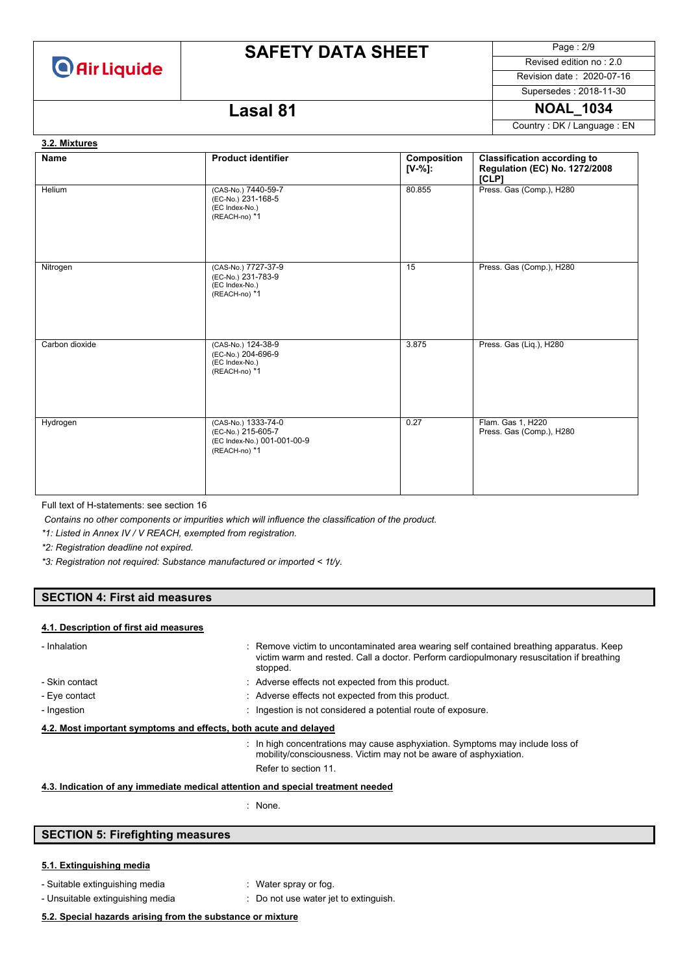

# **SAFETY DATA SHEET**

Page : 2/9 Revised edition no : 2.0

Revision date : 2020-07-16 Supersedes : 2018-11-30

### **Lasal 81 NOAL\_1034**

Country : DK / Language : EN

### **Name Product identifier Product identifier Composition [V-%]: Classification according to Regulation (EC) No. 1272/2008 [CLP]** Helium (CAS-No.) 7440-59-7 (EC-No.) 231-168-5 (EC Index-No.) (REACH-no) \*1 80.855 Press. Gas (Comp.), H280 Nitrogen (CAS-No.) 7727-37-9 (EC-No.) 231-783-9 (EC Index-No.) (REACH-no) \*1 15 Press. Gas (Comp.), H280 Carbon dioxide (CAS-No.) 124-38-9 (EC-No.) 204-696-9 (EC Index-No.) (REACH-no) \*1 3.875 Press. Gas (Liq.), H280 Hydrogen (CAS-No.) 1333-74-0 (EC-No.) 215-605-7 (EC Index-No.) 001-001-00-9 (REACH-no) \*1 0.27 Flam. Gas 1, H220 Press. Gas (Comp.), H280 **3.2. Mixtures**

Full text of H-statements: see section 16

*Contains no other components or impurities which will influence the classification of the product.*

*\*1: Listed in Annex IV / V REACH, exempted from registration.*

*\*2: Registration deadline not expired.*

*\*3: Registration not required: Substance manufactured or imported < 1t/y.*

### **SECTION 4: First aid measures**

#### **4.1. Description of first aid measures**

| - Inhalation                                                     |  | : Remove victim to uncontaminated area wearing self contained breathing apparatus. Keep<br>victim warm and rested. Call a doctor. Perform cardiopulmonary resuscitation if breathing<br>stopped. |  |  |
|------------------------------------------------------------------|--|--------------------------------------------------------------------------------------------------------------------------------------------------------------------------------------------------|--|--|
| - Skin contact                                                   |  | : Adverse effects not expected from this product.                                                                                                                                                |  |  |
| - Eve contact                                                    |  | : Adverse effects not expected from this product.                                                                                                                                                |  |  |
| - Ingestion                                                      |  | : Ingestion is not considered a potential route of exposure.                                                                                                                                     |  |  |
| 4.2. Most important symptoms and effects, both acute and delayed |  |                                                                                                                                                                                                  |  |  |
|                                                                  |  | : In high concentrations may cause asphyxiation. Symptoms may include loss of<br>mobility/consciousness. Victim may not be aware of asphyxiation.                                                |  |  |
|                                                                  |  | Refer to section 11.                                                                                                                                                                             |  |  |

### **4.3. Indication of any immediate medical attention and special treatment needed**

: None.

### **SECTION 5: Firefighting measures**

#### **5.1. Extinguishing media**

- Suitable extinguishing media : Water spray or fog.
	-
- 
- Unsuitable extinguishing media : Do not use water jet to extinguish.

#### **5.2. Special hazards arising from the substance or mixture**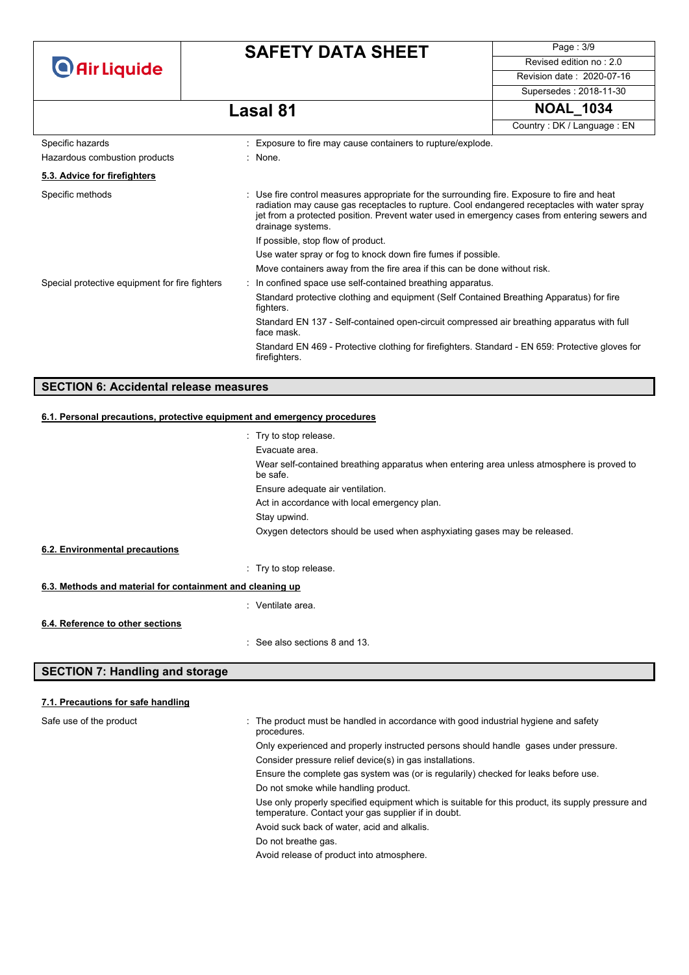| <b>O</b> Air Liquide                           | <b>SAFETY DATA SHEET</b>                                                                                                                                                                                                                                                                                          | Page: 3/9                                                   |  |  |
|------------------------------------------------|-------------------------------------------------------------------------------------------------------------------------------------------------------------------------------------------------------------------------------------------------------------------------------------------------------------------|-------------------------------------------------------------|--|--|
|                                                |                                                                                                                                                                                                                                                                                                                   | Revised edition no: 2.0                                     |  |  |
|                                                |                                                                                                                                                                                                                                                                                                                   | Revision date: 2020-07-16                                   |  |  |
|                                                |                                                                                                                                                                                                                                                                                                                   | Supersedes: 2018-11-30                                      |  |  |
|                                                | <b>Lasal 81</b>                                                                                                                                                                                                                                                                                                   | <b>NOAL_1034</b>                                            |  |  |
|                                                |                                                                                                                                                                                                                                                                                                                   | Country: DK / Language: EN                                  |  |  |
| Specific hazards                               | Exposure to fire may cause containers to rupture/explode.                                                                                                                                                                                                                                                         |                                                             |  |  |
| Hazardous combustion products                  | : None.                                                                                                                                                                                                                                                                                                           |                                                             |  |  |
| 5.3. Advice for firefighters                   |                                                                                                                                                                                                                                                                                                                   |                                                             |  |  |
| Specific methods                               | : Use fire control measures appropriate for the surrounding fire. Exposure to fire and heat<br>radiation may cause gas receptacles to rupture. Cool endangered receptacles with water spray<br>jet from a protected position. Prevent water used in emergency cases from entering sewers and<br>drainage systems. |                                                             |  |  |
|                                                | If possible, stop flow of product.                                                                                                                                                                                                                                                                                |                                                             |  |  |
|                                                | Use water spray or fog to knock down fire fumes if possible.                                                                                                                                                                                                                                                      |                                                             |  |  |
|                                                | Move containers away from the fire area if this can be done without risk.                                                                                                                                                                                                                                         |                                                             |  |  |
| Special protective equipment for fire fighters |                                                                                                                                                                                                                                                                                                                   | : In confined space use self-contained breathing apparatus. |  |  |
|                                                | Standard protective clothing and equipment (Self Contained Breathing Apparatus) for fire<br>fighters.                                                                                                                                                                                                             |                                                             |  |  |
|                                                | Standard EN 137 - Self-contained open-circuit compressed air breathing apparatus with full<br>face mask.                                                                                                                                                                                                          |                                                             |  |  |
|                                                | Standard EN 469 - Protective clothing for firefighters. Standard - EN 659: Protective gloves for<br>firefighters.                                                                                                                                                                                                 |                                                             |  |  |

### **SECTION 6: Accidental release measures**

#### **6.1. Personal precautions, protective equipment and emergency procedures**

|                                                           | $:$ Try to stop release.                                                                              |  |
|-----------------------------------------------------------|-------------------------------------------------------------------------------------------------------|--|
|                                                           | Evacuate area.                                                                                        |  |
|                                                           | Wear self-contained breathing apparatus when entering area unless atmosphere is proved to<br>be safe. |  |
|                                                           | Ensure adequate air ventilation.                                                                      |  |
|                                                           | Act in accordance with local emergency plan.                                                          |  |
|                                                           | Stay upwind.                                                                                          |  |
|                                                           | Oxygen detectors should be used when asphyxiating gases may be released.                              |  |
| 6.2. Environmental precautions                            |                                                                                                       |  |
|                                                           | : Try to stop release.                                                                                |  |
| 6.3. Methods and material for containment and cleaning up |                                                                                                       |  |
|                                                           | : Ventilate area.                                                                                     |  |
| 6.4. Reference to other sections                          |                                                                                                       |  |
|                                                           | : See also sections 8 and 13.                                                                         |  |

### **SECTION 7: Handling and storage**

#### **7.1. Precautions for safe handling**

Safe use of the product interest in the product must be handled in accordance with good industrial hygiene and safety procedures. Only experienced and properly instructed persons should handle gases under pressure. Consider pressure relief device(s) in gas installations. Ensure the complete gas system was (or is regularily) checked for leaks before use. Do not smoke while handling product. Use only properly specified equipment which is suitable for this product, its supply pressure and temperature. Contact your gas supplier if in doubt. Avoid suck back of water, acid and alkalis.

Do not breathe gas.

Avoid release of product into atmosphere.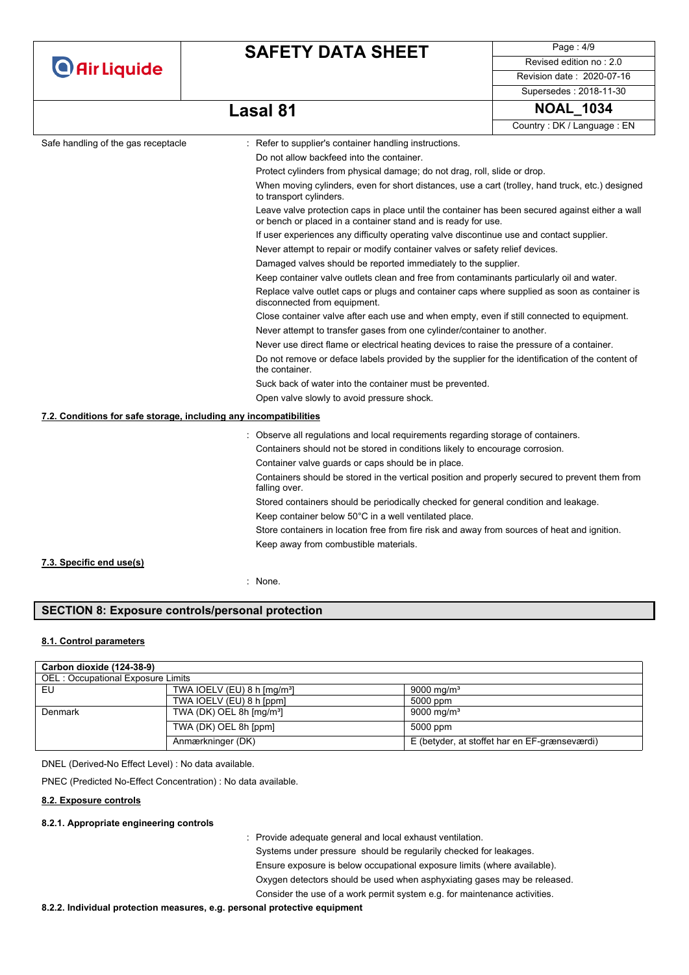|                                                                   | <b>SAFETY DATA SHEET</b>                                                                                                                                         | Page: $4/9$                |
|-------------------------------------------------------------------|------------------------------------------------------------------------------------------------------------------------------------------------------------------|----------------------------|
| <b>O</b> Air Liquide                                              |                                                                                                                                                                  | Revised edition no: 2.0    |
|                                                                   |                                                                                                                                                                  | Revision date: 2020-07-16  |
|                                                                   |                                                                                                                                                                  | Supersedes: 2018-11-30     |
|                                                                   | <b>Lasal 81</b>                                                                                                                                                  | <b>NOAL 1034</b>           |
|                                                                   |                                                                                                                                                                  | Country: DK / Language: EN |
| Safe handling of the gas receptacle                               | : Refer to supplier's container handling instructions.                                                                                                           |                            |
|                                                                   | Do not allow backfeed into the container.                                                                                                                        |                            |
|                                                                   | Protect cylinders from physical damage; do not drag, roll, slide or drop.                                                                                        |                            |
|                                                                   | When moving cylinders, even for short distances, use a cart (trolley, hand truck, etc.) designed<br>to transport cylinders.                                      |                            |
|                                                                   | Leave valve protection caps in place until the container has been secured against either a wall<br>or bench or placed in a container stand and is ready for use. |                            |
|                                                                   | If user experiences any difficulty operating valve discontinue use and contact supplier.                                                                         |                            |
|                                                                   | Never attempt to repair or modify container valves or safety relief devices.                                                                                     |                            |
|                                                                   | Damaged valves should be reported immediately to the supplier.                                                                                                   |                            |
|                                                                   | Keep container valve outlets clean and free from contaminants particularly oil and water.                                                                        |                            |
|                                                                   | Replace valve outlet caps or plugs and container caps where supplied as soon as container is<br>disconnected from equipment.                                     |                            |
|                                                                   | Close container valve after each use and when empty, even if still connected to equipment.                                                                       |                            |
|                                                                   | Never attempt to transfer gases from one cylinder/container to another.                                                                                          |                            |
|                                                                   | Never use direct flame or electrical heating devices to raise the pressure of a container.                                                                       |                            |
|                                                                   | Do not remove or deface labels provided by the supplier for the identification of the content of<br>the container.                                               |                            |
|                                                                   | Suck back of water into the container must be prevented.                                                                                                         |                            |
|                                                                   | Open valve slowly to avoid pressure shock.                                                                                                                       |                            |
| 7.2. Conditions for safe storage, including any incompatibilities |                                                                                                                                                                  |                            |
|                                                                   | : Observe all regulations and local requirements regarding storage of containers.                                                                                |                            |
|                                                                   | Containers should not be stored in conditions likely to encourage corrosion.                                                                                     |                            |
|                                                                   | Container valve guards or caps should be in place.                                                                                                               |                            |
|                                                                   | Containers should be stored in the vertical position and properly secured to prevent them from<br>falling over.                                                  |                            |
|                                                                   | Stored containers should be periodically checked for general condition and leakage.                                                                              |                            |
|                                                                   | Keep container below 50°C in a well ventilated place.                                                                                                            |                            |
|                                                                   | Store containers in location free from fire risk and away from sources of heat and ignition.                                                                     |                            |
|                                                                   | Keep away from combustible materials.                                                                                                                            |                            |
| 7.3. Specific end use(s)                                          |                                                                                                                                                                  |                            |
|                                                                   | None.                                                                                                                                                            |                            |
|                                                                   |                                                                                                                                                                  |                            |

### **SECTION 8: Exposure controls/personal protection**

### **8.1. Control parameters**

| Carbon dioxide (124-38-9)         |                                          |                                               |  |  |
|-----------------------------------|------------------------------------------|-----------------------------------------------|--|--|
| OEL: Occupational Exposure Limits |                                          |                                               |  |  |
| EU                                | TWA IOELV (EU) 8 h $\text{[mg/m³]}$      | 9000 mg/m <sup>3</sup>                        |  |  |
|                                   | TWA IOELV (EU) 8 h [ppm]                 | 5000 ppm                                      |  |  |
| Denmark                           | TWA (DK) OEL 8h $\text{[mq/m}^3\text{]}$ | 9000 mg/m <sup>3</sup>                        |  |  |
|                                   | TWA (DK) OEL 8h [ppm]                    | 5000 ppm                                      |  |  |
|                                   | Anmærkninger (DK)                        | E (betyder, at stoffet har en EF-grænseværdi) |  |  |

DNEL (Derived-No Effect Level) : No data available.

PNEC (Predicted No-Effect Concentration) : No data available.

### **8.2. Exposure controls**

#### **8.2.1. Appropriate engineering controls**

: Provide adequate general and local exhaust ventilation.

Systems under pressure should be regularily checked for leakages. Ensure exposure is below occupational exposure limits (where available). Oxygen detectors should be used when asphyxiating gases may be released. Consider the use of a work permit system e.g. for maintenance activities.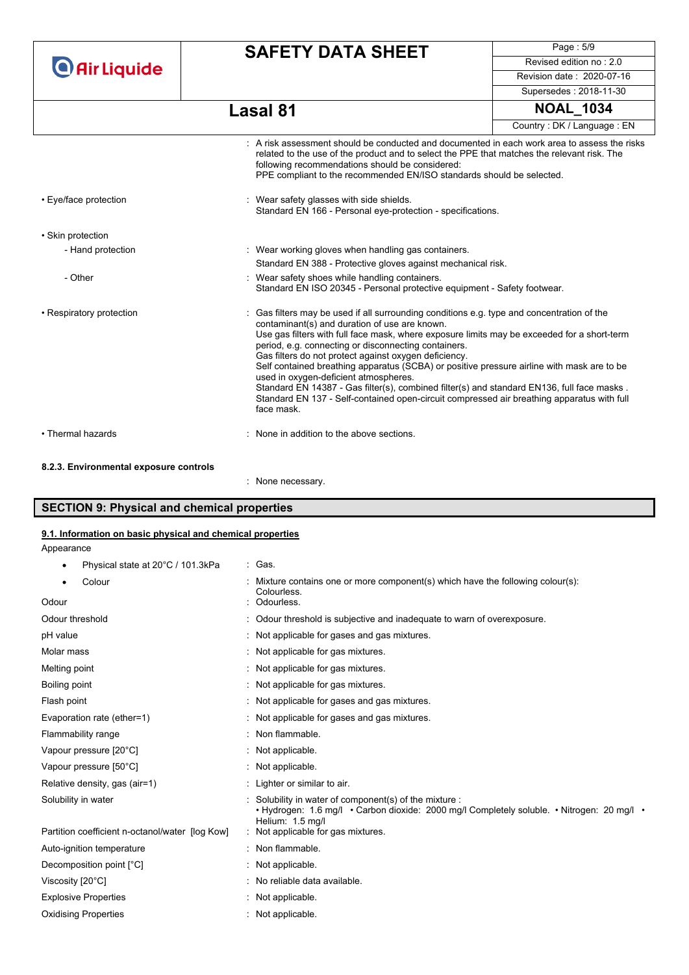# **SAFETY DATA SHEET**

Page : 5/9 Revised edition no : 2.0 Revision date : 2020-07-16

Supersedes : 2018-11-30

Country : DK / Language : EN

# **Lasal 81 NOAL\_1034**

|                                        | $\pm$ A risk assessment should be conducted and documented in each work area to assess the risks<br>related to the use of the product and to select the PPE that matches the relevant risk. The<br>following recommendations should be considered:<br>PPE compliant to the recommended EN/ISO standards should be selected.                                                                                                                                                                                                                                                                                                                                                                                  |
|----------------------------------------|--------------------------------------------------------------------------------------------------------------------------------------------------------------------------------------------------------------------------------------------------------------------------------------------------------------------------------------------------------------------------------------------------------------------------------------------------------------------------------------------------------------------------------------------------------------------------------------------------------------------------------------------------------------------------------------------------------------|
| • Eye/face protection                  | : Wear safety glasses with side shields.<br>Standard EN 166 - Personal eye-protection - specifications.                                                                                                                                                                                                                                                                                                                                                                                                                                                                                                                                                                                                      |
| • Skin protection                      |                                                                                                                                                                                                                                                                                                                                                                                                                                                                                                                                                                                                                                                                                                              |
| - Hand protection                      | : Wear working gloves when handling gas containers.                                                                                                                                                                                                                                                                                                                                                                                                                                                                                                                                                                                                                                                          |
|                                        | Standard EN 388 - Protective gloves against mechanical risk.                                                                                                                                                                                                                                                                                                                                                                                                                                                                                                                                                                                                                                                 |
| - Other                                | : Wear safety shoes while handling containers.<br>Standard EN ISO 20345 - Personal protective equipment - Safety footwear.                                                                                                                                                                                                                                                                                                                                                                                                                                                                                                                                                                                   |
| • Respiratory protection               | : Gas filters may be used if all surrounding conditions e.g. type and concentration of the<br>contaminant(s) and duration of use are known.<br>Use gas filters with full face mask, where exposure limits may be exceeded for a short-term<br>period, e.g. connecting or disconnecting containers.<br>Gas filters do not protect against oxygen deficiency.<br>Self contained breathing apparatus (SCBA) or positive pressure airline with mask are to be<br>used in oxygen-deficient atmospheres.<br>Standard EN 14387 - Gas filter(s), combined filter(s) and standard EN136, full face masks.<br>Standard EN 137 - Self-contained open-circuit compressed air breathing apparatus with full<br>face mask. |
| • Thermal hazards                      | : None in addition to the above sections.                                                                                                                                                                                                                                                                                                                                                                                                                                                                                                                                                                                                                                                                    |
| 8.2.3. Environmental exposure controls |                                                                                                                                                                                                                                                                                                                                                                                                                                                                                                                                                                                                                                                                                                              |
|                                        | : None necessary.                                                                                                                                                                                                                                                                                                                                                                                                                                                                                                                                                                                                                                                                                            |

# **SECTION 9: Physical and chemical properties**

# **9.1. Information on basic physical and chemical properties**

Appearance

| Physical state at 20°C / 101.3kPa | : Gas. |
|-----------------------------------|--------|
|                                   |        |

| Colour                                          | Mixture contains one or more component(s) which have the following colour(s):<br>Colourless.                                                                           |
|-------------------------------------------------|------------------------------------------------------------------------------------------------------------------------------------------------------------------------|
| Odour                                           | Odourless.                                                                                                                                                             |
| Odour threshold                                 | : Odour threshold is subjective and inadequate to warn of overexposure.                                                                                                |
| pH value                                        | : Not applicable for gases and gas mixtures.                                                                                                                           |
| Molar mass                                      | : Not applicable for gas mixtures.                                                                                                                                     |
| Melting point                                   | : Not applicable for gas mixtures.                                                                                                                                     |
| Boiling point                                   | : Not applicable for gas mixtures.                                                                                                                                     |
| Flash point                                     | : Not applicable for gases and gas mixtures.                                                                                                                           |
| Evaporation rate (ether=1)                      | : Not applicable for gases and gas mixtures.                                                                                                                           |
| Flammability range                              | : Non flammable.                                                                                                                                                       |
| Vapour pressure [20°C]                          | : Not applicable.                                                                                                                                                      |
| Vapour pressure [50°C]                          | : Not applicable.                                                                                                                                                      |
| Relative density, gas (air=1)                   | : Lighter or similar to air.                                                                                                                                           |
| Solubility in water                             | Solubility in water of component(s) of the mixture :<br>• Hydrogen: 1.6 mg/l • Carbon dioxide: 2000 mg/l Completely soluble. • Nitrogen: 20 mg/l •<br>Helium: 1.5 mg/l |
| Partition coefficient n-octanol/water [log Kow] | : Not applicable for gas mixtures.                                                                                                                                     |
| Auto-ignition temperature                       | : Non flammable.                                                                                                                                                       |
| Decomposition point [°C]                        | : Not applicable.                                                                                                                                                      |
| Viscosity [20°C]                                | : No reliable data available.                                                                                                                                          |
| <b>Explosive Properties</b>                     | : Not applicable.                                                                                                                                                      |
| <b>Oxidising Properties</b>                     | : Not applicable.                                                                                                                                                      |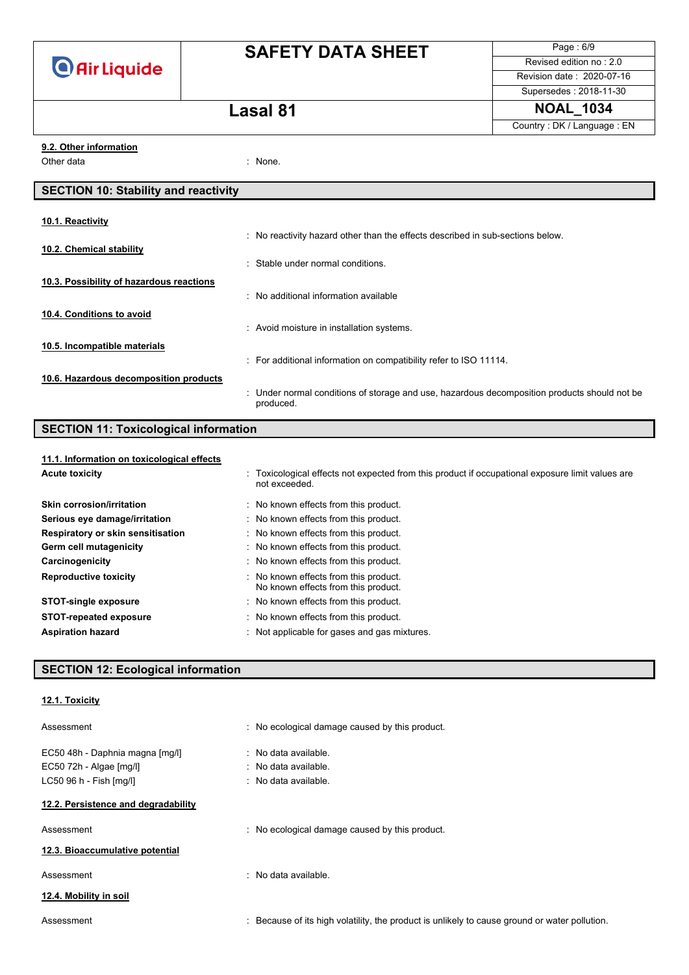# **SAFETY DATA SHEET**

Page : 6/9 Revised edition no : 2.0 Revision date : 2020-07-16

**Lasal 81 NOAL\_1034** Country : DK / Language : EN

Supersedes : 2018-11-30

### **9.2. Other information**

Other data in the set of the set of the set of the set of the set of the set of the set of the set of the set o

### **SECTION 10: Stability and reactivity**

| 10.1. Reactivity                         |                                                                                                           |
|------------------------------------------|-----------------------------------------------------------------------------------------------------------|
|                                          | : No reactivity hazard other than the effects described in sub-sections below.                            |
| 10.2. Chemical stability                 | Stable under normal conditions.                                                                           |
| 10.3. Possibility of hazardous reactions |                                                                                                           |
|                                          | : No additional information available                                                                     |
| 10.4. Conditions to avoid                |                                                                                                           |
|                                          | : Avoid moisture in installation systems.                                                                 |
| 10.5. Incompatible materials             |                                                                                                           |
|                                          | : For additional information on compatibility refer to ISO 11114.                                         |
| 10.6. Hazardous decomposition products   |                                                                                                           |
|                                          | : Under normal conditions of storage and use, hazardous decomposition products should not be<br>produced. |

### **SECTION 11: Toxicological information**

# **11.1. Information on toxicological effects**

| <b>Acute toxicity</b>             | : Toxicological effects not expected from this product if occupational exposure limit values are<br>not exceeded. |
|-----------------------------------|-------------------------------------------------------------------------------------------------------------------|
| Skin corrosion/irritation         | No known effects from this product.                                                                               |
| Serious eye damage/irritation     | : No known effects from this product.                                                                             |
| Respiratory or skin sensitisation | : No known effects from this product.                                                                             |
| Germ cell mutagenicity            | : No known effects from this product.                                                                             |
| Carcinogenicity                   | : No known effects from this product.                                                                             |
| <b>Reproductive toxicity</b>      | : No known effects from this product.<br>No known effects from this product.                                      |
| <b>STOT-single exposure</b>       | : No known effects from this product.                                                                             |
| <b>STOT-repeated exposure</b>     | : No known effects from this product.                                                                             |
| <b>Aspiration hazard</b>          | : Not applicable for gases and gas mixtures.                                                                      |

### **SECTION 12: Ecological information**

| 12.1. Toxicity |
|----------------|
|                |

| Assessment                          | : No ecological damage caused by this product.                                                |
|-------------------------------------|-----------------------------------------------------------------------------------------------|
| EC50 48h - Daphnia magna [mg/l]     | : No data available.                                                                          |
| EC50 72h - Algae [mg/l]             | $:$ No data available.                                                                        |
| LC50 96 h - Fish [mq/l]             | $:$ No data available.                                                                        |
| 12.2. Persistence and degradability |                                                                                               |
| Assessment                          | : No ecological damage caused by this product.                                                |
| 12.3. Bioaccumulative potential     |                                                                                               |
| Assessment                          | : No data available.                                                                          |
| 12.4. Mobility in soil              |                                                                                               |
| Assessment                          | : Because of its high volatility, the product is unlikely to cause ground or water pollution. |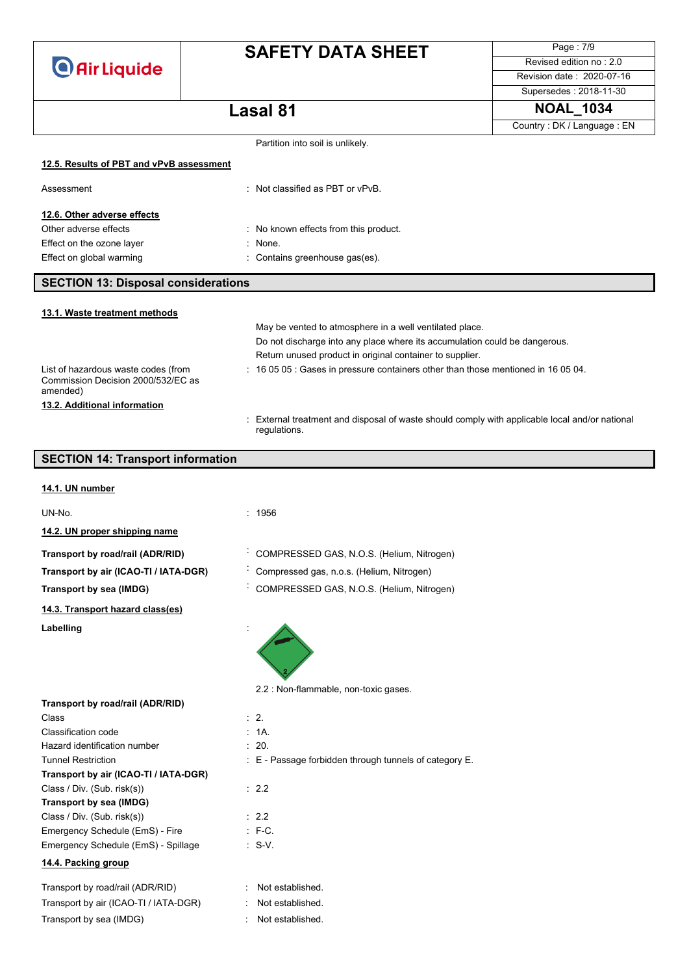# **SAFETY DATA SHEET**

Page : 7/9 Revised edition no : 2.0 Revision date : 2020-07-16

Supersedes : 2018-11-30

### **Lasal 81 NOAL\_1034**

|  | Country: DK / Language: EN |  |
|--|----------------------------|--|
|  |                            |  |

|                                            | Partition into soil is unlikely.                                                                              |
|--------------------------------------------|---------------------------------------------------------------------------------------------------------------|
| 12.5. Results of PBT and vPvB assessment   |                                                                                                               |
|                                            |                                                                                                               |
| Assessment                                 | : Not classified as PBT or vPvB.                                                                              |
| 12.6. Other adverse effects                |                                                                                                               |
| Other adverse effects                      | : No known effects from this product.                                                                         |
| Effect on the ozone layer                  | None.                                                                                                         |
| Effect on global warming                   | Contains greenhouse gas(es).                                                                                  |
|                                            |                                                                                                               |
| <b>SECTION 13: Disposal considerations</b> |                                                                                                               |
| 13.1. Waste treatment methods              |                                                                                                               |
|                                            | May be vented to atmosphere in a well ventilated place.                                                       |
|                                            | Do not discharge into any place where its accumulation could be dangerous.                                    |
|                                            | Return unused product in original container to supplier.                                                      |
| List of hazardous waste codes (from        | : 16 05 05 : Gases in pressure containers other than those mentioned in 16 05 04.                             |
| Commission Decision 2000/532/EC as         |                                                                                                               |
| amended)                                   |                                                                                                               |
| 13.2. Additional information               |                                                                                                               |
|                                            | : External treatment and disposal of waste should comply with applicable local and/or nationa<br>regulations. |
|                                            |                                                                                                               |
| <b>SECTION 14: Transport information</b>   |                                                                                                               |
|                                            |                                                                                                               |
| 14.1. UN number                            |                                                                                                               |
| UN-No.                                     | : 1956                                                                                                        |
| 14.2. UN proper shipping name              |                                                                                                               |
|                                            | COMPRESSED GAS, N.O.S. (Helium, Nitrogen)                                                                     |
| Transport by road/rail (ADR/RID)           |                                                                                                               |
| Transport by air (ICAO-TI / IATA-DGR)      | Compressed gas, n.o.s. (Helium, Nitrogen)                                                                     |
| <b>Transport by sea (IMDG)</b>             | COMPRESSED GAS, N.O.S. (Helium, Nitrogen)                                                                     |
| 14.3. Transport hazard class(es)           |                                                                                                               |
| Labelling                                  |                                                                                                               |
|                                            |                                                                                                               |
|                                            |                                                                                                               |
|                                            |                                                                                                               |
|                                            | 2.2 : Non-flammable, non-toxic gases.                                                                         |
| Transport by road/rail (ADR/RID)           |                                                                                                               |
| Class                                      | $\therefore$ 2.                                                                                               |
| Classification code                        | : 1A.                                                                                                         |
| Hazard identification number               | : 20.                                                                                                         |
| <b>Tunnel Restriction</b>                  | : E - Passage forbidden through tunnels of category E.                                                        |
| Transport by air (ICAO-TI / IATA-DGR)      |                                                                                                               |
| Class / Div. (Sub. risk(s))                | : 2.2                                                                                                         |
| Transport by sea (IMDG)                    |                                                                                                               |
| Class / Div. (Sub. risk(s))                | : 2.2                                                                                                         |
| Emergency Schedule (EmS) - Fire            | $\therefore$ F-C.                                                                                             |
| Emergency Schedule (EmS) - Spillage        | $\cdot$ S-V.                                                                                                  |
|                                            |                                                                                                               |

### **14.4. Packing group**

| Transport by road/rail (ADR/RID)      | : Not established. |
|---------------------------------------|--------------------|
| Transport by air (ICAO-TI / IATA-DGR) | : Not established. |
| Transport by sea (IMDG)               | : Not established. |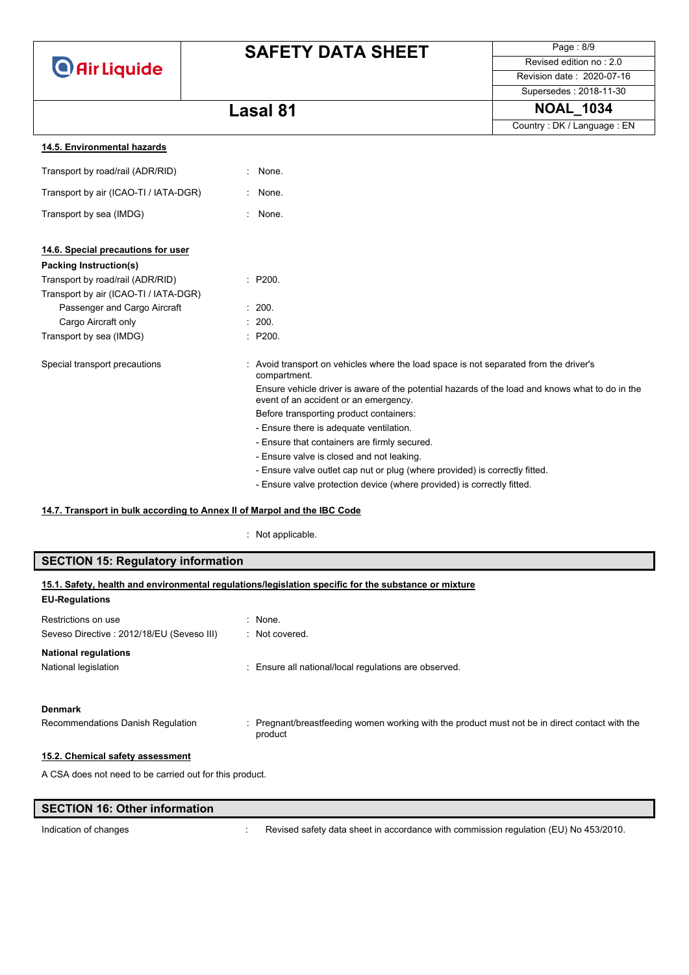# **SAFETY DATA SHEET**

Page : 8/9 Revised edition no : 2.0 Revision date : 2020-07-16

Supersedes : 2018-11-30

### **Lasal 81 NOAL\_1034**

|                                       |                                                                                                                                          | Country: DK / Language: EN |
|---------------------------------------|------------------------------------------------------------------------------------------------------------------------------------------|----------------------------|
| 14.5. Environmental hazards           |                                                                                                                                          |                            |
| Transport by road/rail (ADR/RID)      | : None.                                                                                                                                  |                            |
| Transport by air (ICAO-TI / IATA-DGR) | None.                                                                                                                                    |                            |
| Transport by sea (IMDG)               | : None.                                                                                                                                  |                            |
| 14.6. Special precautions for user    |                                                                                                                                          |                            |
| Packing Instruction(s)                |                                                                                                                                          |                            |
| Transport by road/rail (ADR/RID)      | : P200.                                                                                                                                  |                            |
| Transport by air (ICAO-TI / IATA-DGR) |                                                                                                                                          |                            |
| Passenger and Cargo Aircraft          | : 200.                                                                                                                                   |                            |
| Cargo Aircraft only                   | : 200.                                                                                                                                   |                            |
| Transport by sea (IMDG)               | : P200.                                                                                                                                  |                            |
| Special transport precautions         | : Avoid transport on vehicles where the load space is not separated from the driver's<br>compartment.                                    |                            |
|                                       | Ensure vehicle driver is aware of the potential hazards of the load and knows what to do in the<br>event of an accident or an emergency. |                            |
|                                       | Before transporting product containers:                                                                                                  |                            |
|                                       | - Ensure there is adequate ventilation.                                                                                                  |                            |
|                                       | - Ensure that containers are firmly secured.                                                                                             |                            |
|                                       | - Ensure valve is closed and not leaking.                                                                                                |                            |
|                                       | - Ensure valve outlet cap nut or plug (where provided) is correctly fitted.                                                              |                            |
|                                       | - Ensure valve protection device (where provided) is correctly fitted.                                                                   |                            |

### **14.7. Transport in bulk according to Annex II of Marpol and the IBC Code**

#### : Not applicable.

| <b>SECTION 15: Regulatory information</b>               |                                                                                                         |  |  |
|---------------------------------------------------------|---------------------------------------------------------------------------------------------------------|--|--|
| <b>EU-Regulations</b>                                   | 15.1. Safety, health and environmental regulations/legislation specific for the substance or mixture    |  |  |
| Restrictions on use                                     | : None.                                                                                                 |  |  |
| Seveso Directive : 2012/18/EU (Seveso III)              | $\therefore$ Not covered.                                                                               |  |  |
| <b>National regulations</b>                             |                                                                                                         |  |  |
| National legislation                                    | : Ensure all national/local regulations are observed.                                                   |  |  |
| <b>Denmark</b>                                          |                                                                                                         |  |  |
| Recommendations Danish Regulation                       | Pregnant/breastfeeding women working with the product must not be in direct contact with the<br>product |  |  |
| 15.2. Chemical safety assessment                        |                                                                                                         |  |  |
| A CSA does not need to be carried out for this product. |                                                                                                         |  |  |

### **SECTION 16: Other information**

Indication of changes **interval of the COV**: Revised safety data sheet in accordance with commission regulation (EU) No 453/2010.